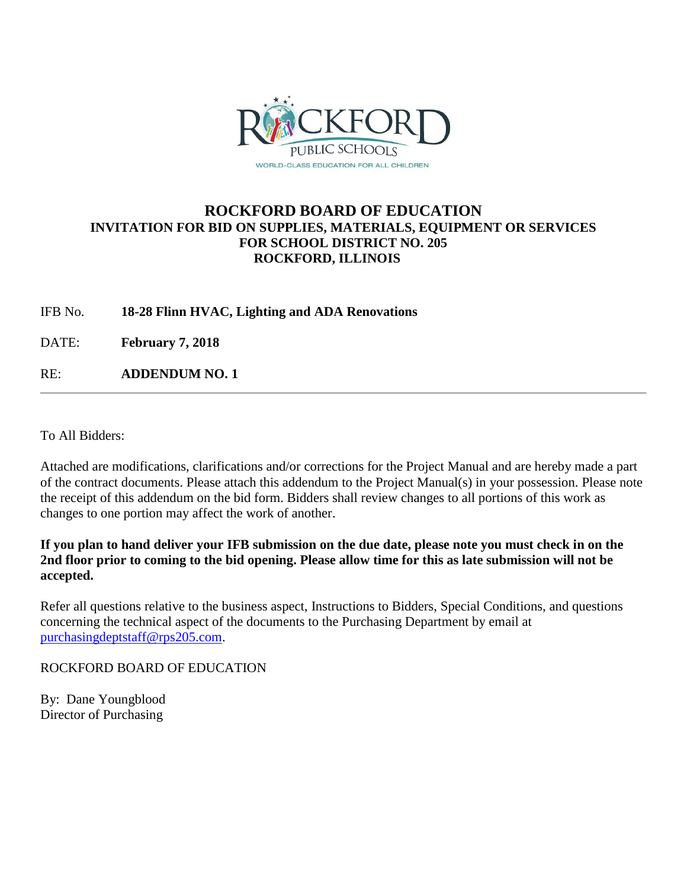

# **ROCKFORD BOARD OF EDUCATION INVITATION FOR BID ON SUPPLIES, MATERIALS, EQUIPMENT OR SERVICES FOR SCHOOL DISTRICT NO. 205 ROCKFORD, ILLINOIS**

IFB No. **18-28 Flinn HVAC, Lighting and ADA Renovations**

DATE: **February 7, 2018**

RE: **ADDENDUM NO. 1**

To All Bidders:

Attached are modifications, clarifications and/or corrections for the Project Manual and are hereby made a part of the contract documents. Please attach this addendum to the Project Manual(s) in your possession. Please note the receipt of this addendum on the bid form. Bidders shall review changes to all portions of this work as changes to one portion may affect the work of another.

**If you plan to hand deliver your IFB submission on the due date, please note you must check in on the 2nd floor prior to coming to the bid opening. Please allow time for this as late submission will not be accepted.**

Refer all questions relative to the business aspect, Instructions to Bidders, Special Conditions, and questions concerning the technical aspect of the documents to the Purchasing Department by email at [purchasingdeptstaff@rps205.com.](mailto:purchasingdeptstaff@rps205.com)

ROCKFORD BOARD OF EDUCATION

By: Dane Youngblood Director of Purchasing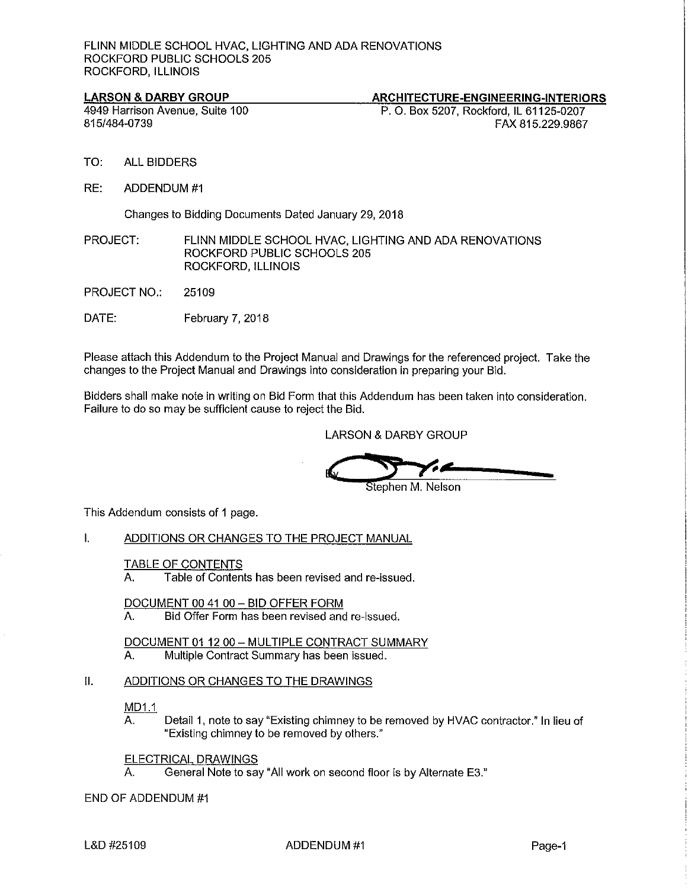#### **LARSON & DARBY GROUP**

#### ARCHITECTURE-ENGINEERING-INTERIORS

4949 Harrison Avenue, Suite 100 815/484-0739

P. O. Box 5207, Rockford, IL 61125-0207 FAX 815.229.9867

- TO: **ALL BIDDERS**
- RE: ADDENDUM #1

Changes to Bidding Documents Dated January 29, 2018

PROJECT: FLINN MIDDLE SCHOOL HVAC, LIGHTING AND ADA RENOVATIONS ROCKFORD PUBLIC SCHOOLS 205 ROCKFORD, ILLINOIS

- **PROJECT NO.:** 25109
- DATE: February 7, 2018

Please attach this Addendum to the Project Manual and Drawings for the referenced project. Take the changes to the Project Manual and Drawings into consideration in preparing your Bid.

Bidders shall make note in writing on Bid Form that this Addendum has been taken into consideration. Failure to do so may be sufficient cause to reject the Bid.

**LARSON & DARBY GROUP** 

Stephen M. Nelson

This Addendum consists of 1 page.

 $\mathbf{L}$ ADDITIONS OR CHANGES TO THE PROJECT MANUAL

#### **TABLE OF CONTENTS**

Table of Contents has been revised and re-issued. А.

DOCUMENT 00 41 00 - BID OFFER FORM

Bid Offer Form has been revised and re-issued. А.

DOCUMENT 01 12 00 - MULTIPLE CONTRACT SUMMARY

Multiple Contract Summary has been issued. А.

#### $\mathbf{II}$ . ADDITIONS OR CHANGES TO THE DRAWINGS

MD1.1

Detail 1, note to say "Existing chimney to be removed by HVAC contractor." In lieu of А. "Existing chimney to be removed by others."

ELECTRICAL DRAWINGS

General Note to say "All work on second floor is by Alternate E3." Α.

### END OF ADDENDUM #1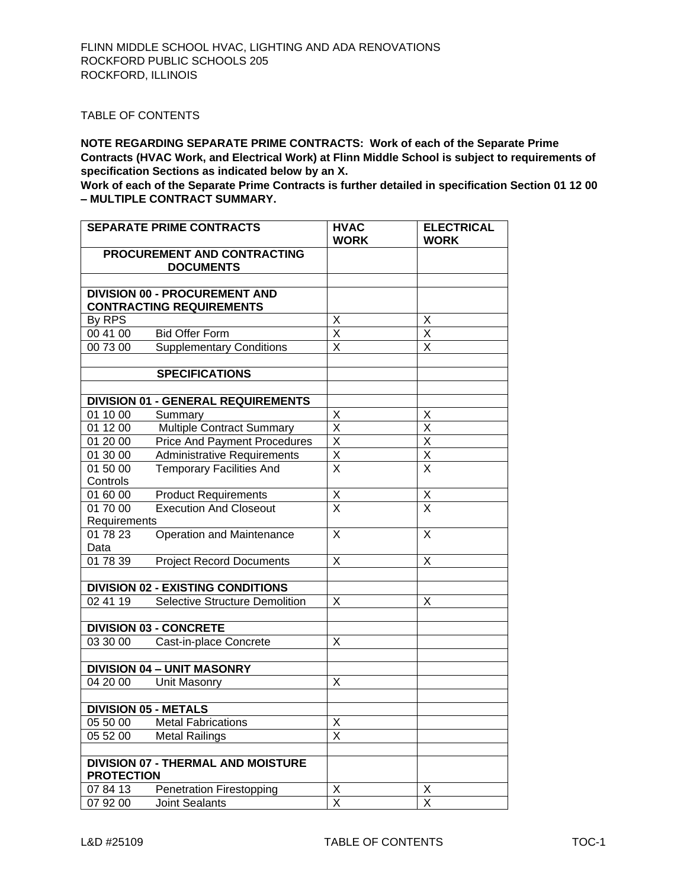### TABLE OF CONTENTS

**NOTE REGARDING SEPARATE PRIME CONTRACTS: Work of each of the Separate Prime Contracts (HVAC Work, and Electrical Work) at Flinn Middle School is subject to requirements of specification Sections as indicated below by an X.** 

**Work of each of the Separate Prime Contracts is further detailed in specification Section 01 12 00 – MULTIPLE CONTRACT SUMMARY.**

|                      | <b>SEPARATE PRIME CONTRACTS</b>                                         | <b>HVAC</b><br><b>WORK</b>   | <b>ELECTRICAL</b><br><b>WORK</b>                   |
|----------------------|-------------------------------------------------------------------------|------------------------------|----------------------------------------------------|
|                      | PROCUREMENT AND CONTRACTING                                             |                              |                                                    |
|                      | <b>DOCUMENTS</b>                                                        |                              |                                                    |
|                      |                                                                         |                              |                                                    |
|                      | <b>DIVISION 00 - PROCUREMENT AND</b><br><b>CONTRACTING REQUIREMENTS</b> |                              |                                                    |
| By RPS               |                                                                         | X                            | X                                                  |
| 00 41 00             | <b>Bid Offer Form</b>                                                   | $\overline{X}$               | X                                                  |
| 00 73 00             | <b>Supplementary Conditions</b>                                         | $\times$                     | X                                                  |
|                      |                                                                         |                              |                                                    |
|                      | <b>SPECIFICATIONS</b>                                                   |                              |                                                    |
|                      |                                                                         |                              |                                                    |
|                      | <b>DIVISION 01 - GENERAL REQUIREMENTS</b>                               |                              |                                                    |
| 01 10 00             | Summary                                                                 | X<br>$\overline{\mathsf{X}}$ | X<br>$\overline{\mathsf{x}}$                       |
| 01 12 00             | <b>Multiple Contract Summary</b>                                        | $\overline{\mathsf{x}}$      | $\overline{\mathsf{x}}$                            |
| 01 20 00             | <b>Price And Payment Procedures</b>                                     | $\overline{\mathsf{X}}$      | $\overline{\mathsf{x}}$                            |
| 01 30 00             | <b>Administrative Requirements</b>                                      | $\overline{\mathsf{x}}$      | $\overline{X}$                                     |
| 01 50 00<br>Controls | <b>Temporary Facilities And</b>                                         |                              |                                                    |
| 01 60 00             | <b>Product Requirements</b>                                             |                              |                                                    |
| 01 70 00             | <b>Execution And Closeout</b>                                           | $\frac{x}{x}$                | $\overline{\mathsf{X}}$<br>$\overline{\mathsf{x}}$ |
| Requirements         |                                                                         |                              |                                                    |
| 01 78 23             | Operation and Maintenance                                               | $\overline{\mathsf{x}}$      | $\overline{X}$                                     |
| Data                 |                                                                         |                              |                                                    |
| 01 78 39             | <b>Project Record Documents</b>                                         | X                            | X                                                  |
|                      |                                                                         |                              |                                                    |
|                      | <b>DIVISION 02 - EXISTING CONDITIONS</b>                                |                              |                                                    |
| 02 41 19             | <b>Selective Structure Demolition</b>                                   | X                            | X                                                  |
|                      |                                                                         |                              |                                                    |
|                      | <b>DIVISION 03 - CONCRETE</b>                                           |                              |                                                    |
| 03 30 00             | Cast-in-place Concrete                                                  | X                            |                                                    |
|                      |                                                                         |                              |                                                    |
|                      | <b>DIVISION 04 - UNIT MASONRY</b>                                       |                              |                                                    |
| 04 20 00             | Unit Masonry                                                            | X                            |                                                    |
|                      | <b>DIVISION 05 - METALS</b>                                             |                              |                                                    |
|                      | 05 50 00 Metal Fabrications                                             | X                            |                                                    |
| 05 52 00             | <b>Metal Railings</b>                                                   | X                            |                                                    |
|                      |                                                                         |                              |                                                    |
|                      | <b>DIVISION 07 - THERMAL AND MOISTURE</b>                               |                              |                                                    |
| <b>PROTECTION</b>    |                                                                         |                              |                                                    |
| 07 84 13             | <b>Penetration Firestopping</b>                                         | $\overline{\mathsf{X}}$      | X                                                  |
| 07 92 00             | <b>Joint Sealants</b>                                                   | $\overline{\mathsf{x}}$      | X                                                  |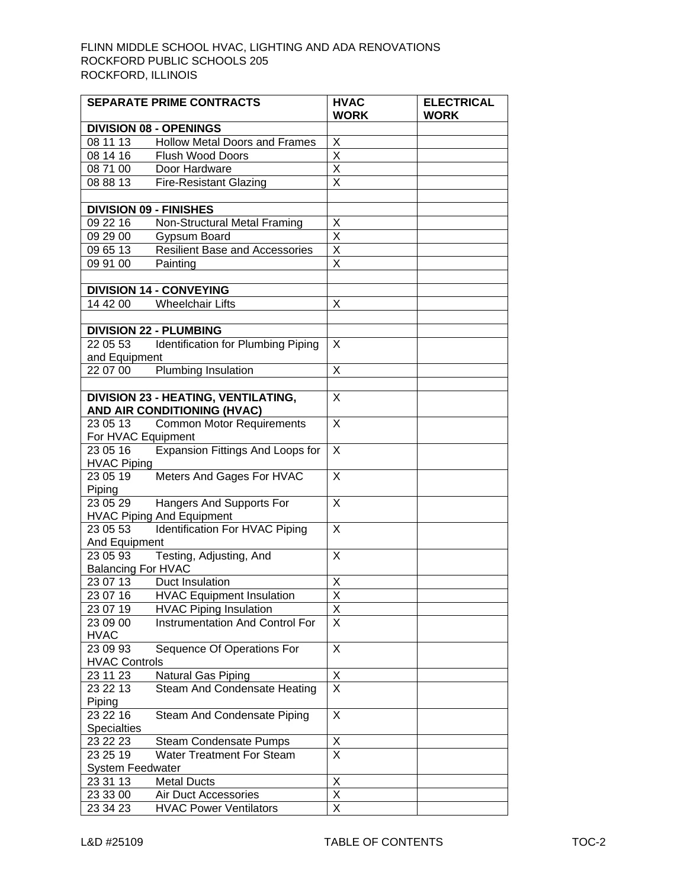|                           | <b>SEPARATE PRIME CONTRACTS</b>        | <b>HVAC</b>                         | <b>ELECTRICAL</b> |
|---------------------------|----------------------------------------|-------------------------------------|-------------------|
|                           |                                        | <b>WORK</b>                         | <b>WORK</b>       |
|                           | <b>DIVISION 08 - OPENINGS</b>          |                                     |                   |
| 08 11 13                  | <b>Hollow Metal Doors and Frames</b>   | $\overline{\mathsf{X}}$             |                   |
| 081416                    | <b>Flush Wood Doors</b>                | $\overline{\mathsf{x}}$             |                   |
| 08 71 00                  | Door Hardware                          | $\overline{\mathsf{X}}$             |                   |
| 08 88 13                  | <b>Fire-Resistant Glazing</b>          | $\overline{\mathsf{x}}$             |                   |
|                           |                                        |                                     |                   |
|                           | <b>DIVISION 09 - FINISHES</b>          |                                     |                   |
| 09 22 16                  | Non-Structural Metal Framing           | $\frac{X}{X}$                       |                   |
| 09 29 00                  | Gypsum Board                           |                                     |                   |
| 09 65 13                  | <b>Resilient Base and Accessories</b>  | $\frac{\overline{x}}{\overline{x}}$ |                   |
| 09 91 00                  | Painting                               |                                     |                   |
|                           |                                        |                                     |                   |
|                           | <b>DIVISION 14 - CONVEYING</b>         |                                     |                   |
| 14 42 00                  | <b>Wheelchair Lifts</b>                | X                                   |                   |
|                           |                                        |                                     |                   |
|                           | <b>DIVISION 22 - PLUMBING</b>          |                                     |                   |
| 22 05 53                  | Identification for Plumbing Piping     | X                                   |                   |
| and Equipment             |                                        |                                     |                   |
| 22 07 00                  | Plumbing Insulation                    | X                                   |                   |
|                           |                                        |                                     |                   |
|                           | DIVISION 23 - HEATING, VENTILATING,    | X                                   |                   |
|                           | AND AIR CONDITIONING (HVAC)            |                                     |                   |
| 23 05 13                  | <b>Common Motor Requirements</b>       | X                                   |                   |
| For HVAC Equipment        |                                        |                                     |                   |
| 23 05 16                  | Expansion Fittings And Loops for       | X                                   |                   |
| <b>HVAC Piping</b>        |                                        |                                     |                   |
| 23 05 19                  | Meters And Gages For HVAC              | $\times$                            |                   |
| Piping                    |                                        |                                     |                   |
| 23 05 29                  | Hangers And Supports For               | X                                   |                   |
|                           | <b>HVAC Piping And Equipment</b>       |                                     |                   |
| 23 05 53                  | Identification For HVAC Piping         | X                                   |                   |
| And Equipment             |                                        |                                     |                   |
| 23 05 93                  | Testing, Adjusting, And                | X                                   |                   |
| <b>Balancing For HVAC</b> |                                        |                                     |                   |
| 23 07 13                  | Duct Insulation                        | Χ                                   |                   |
| 23 07 16                  | <b>HVAC Equipment Insulation</b>       | $\overline{\mathsf{x}}$             |                   |
| 23 07 19                  | <b>HVAC Piping Insulation</b>          | X                                   |                   |
| 23 09 00                  | <b>Instrumentation And Control For</b> | X                                   |                   |
| <b>HVAC</b>               |                                        |                                     |                   |
| 23 09 93                  | Sequence Of Operations For             | X                                   |                   |
| <b>HVAC Controls</b>      |                                        |                                     |                   |
| 23 11 23                  | Natural Gas Piping                     | $\frac{x}{x}$                       |                   |
| 23 22 13                  | Steam And Condensate Heating           |                                     |                   |
| Piping                    |                                        |                                     |                   |
| 23 22 16                  | Steam And Condensate Piping            | X                                   |                   |
| Specialties               |                                        |                                     |                   |
| 23 22 23                  | <b>Steam Condensate Pumps</b>          | $\frac{X}{X}$                       |                   |
| 23 25 19                  | <b>Water Treatment For Steam</b>       |                                     |                   |
| System Feedwater          |                                        |                                     |                   |
| 23 31 13                  | <b>Metal Ducts</b>                     | X                                   |                   |
| 23 33 00                  | Air Duct Accessories                   | $\overline{\mathsf{x}}$             |                   |
| 23 34 23                  | <b>HVAC Power Ventilators</b>          | $\overline{\mathsf{x}}$             |                   |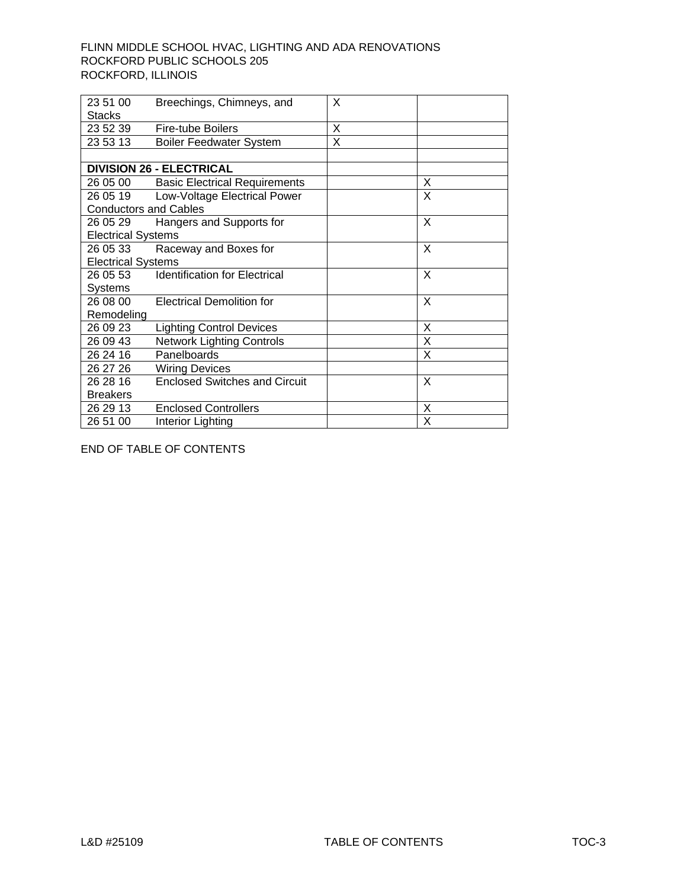| 23 51 00                     | Breechings, Chimneys, and              | X |   |  |
|------------------------------|----------------------------------------|---|---|--|
| <b>Stacks</b>                |                                        |   |   |  |
| 23 52 39                     | <b>Fire-tube Boilers</b>               | X |   |  |
| 23 53 13                     | <b>Boiler Feedwater System</b>         | X |   |  |
|                              |                                        |   |   |  |
|                              | <b>DIVISION 26 - ELECTRICAL</b>        |   |   |  |
|                              | 26 05 00 Basic Electrical Requirements |   | X |  |
|                              | 26 05 19 Low-Voltage Electrical Power  |   | X |  |
| <b>Conductors and Cables</b> |                                        |   |   |  |
| 26 05 29                     | Hangers and Supports for               |   | X |  |
| <b>Electrical Systems</b>    |                                        |   |   |  |
|                              | 26 05 33 Raceway and Boxes for         |   | X |  |
| <b>Electrical Systems</b>    |                                        |   |   |  |
| 26 05 53                     | <b>Identification for Electrical</b>   |   | X |  |
| Systems                      |                                        |   |   |  |
| 26 08 00                     | <b>Electrical Demolition for</b>       |   | X |  |
| Remodeling                   |                                        |   |   |  |
| 26 09 23                     | <b>Lighting Control Devices</b>        |   | X |  |
| 26 09 43                     | <b>Network Lighting Controls</b>       |   | X |  |
| 26 24 16                     | Panelboards                            |   | X |  |
| 26 27 26                     | <b>Wiring Devices</b>                  |   |   |  |
| 26 28 16                     | <b>Enclosed Switches and Circuit</b>   |   | X |  |
| <b>Breakers</b>              |                                        |   |   |  |
| 26 29 13                     | <b>Enclosed Controllers</b>            |   | X |  |
| 26 51 00                     | Interior Lighting                      |   | Χ |  |

END OF TABLE OF CONTENTS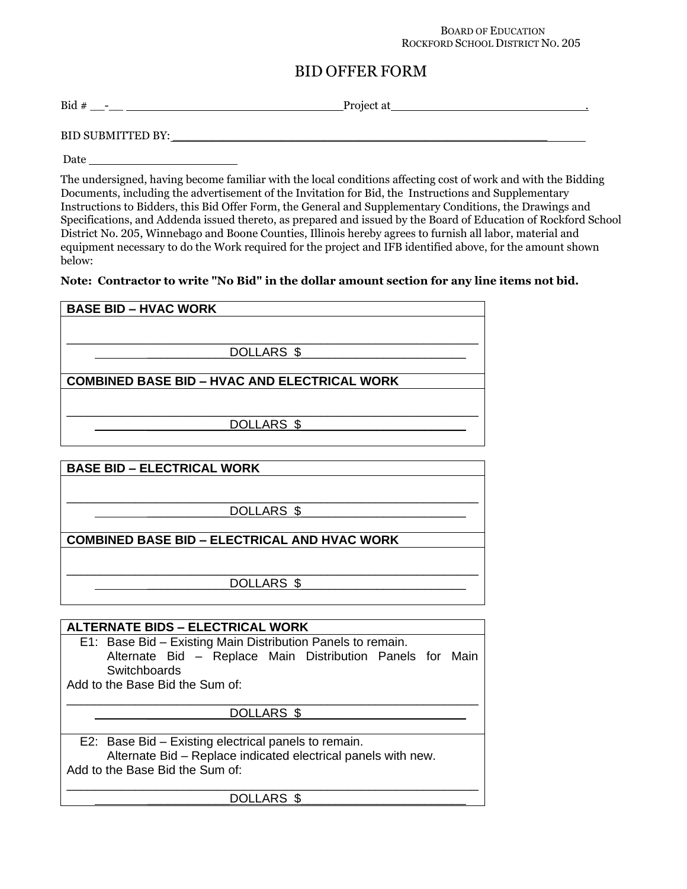#### BOARD OF EDUCATION ROCKFORD SCHOOL DISTRICT NO. 205

# BID OFFER FORM

Bid # \_\_-\_\_ Project at .

BID SUBMITTED BY:

Date

The undersigned, having become familiar with the local conditions affecting cost of work and with the Bidding Documents, including the advertisement of the Invitation for Bid, the Instructions and Supplementary Instructions to Bidders, this Bid Offer Form, the General and Supplementary Conditions, the Drawings and Specifications, and Addenda issued thereto, as prepared and issued by the Board of Education of Rockford School District No. 205, Winnebago and Boone Counties, Illinois hereby agrees to furnish all labor, material and equipment necessary to do the Work required for the project and IFB identified above, for the amount shown below:

### Note: Contractor to write "No Bid" in the dollar amount section for any line items not bid.

| <b>BASE BID – HVAC WORK</b>                         |  |  |
|-----------------------------------------------------|--|--|
|                                                     |  |  |
|                                                     |  |  |
| DOLLARS \$                                          |  |  |
| <b>COMBINED BASE BID - HVAC AND ELECTRICAL WORK</b> |  |  |
|                                                     |  |  |
| DOLLARS \$                                          |  |  |
|                                                     |  |  |
|                                                     |  |  |
| <b>BASE BID - ELECTRICAL WORK</b>                   |  |  |

\_\_\_\_\_\_\_\_\_\_\_\_\_\_\_\_\_\_\_\_\_\_\_\_\_\_\_\_\_\_\_\_\_\_\_\_\_\_\_\_\_\_\_\_\_\_\_\_\_\_\_\_\_\_\_\_\_\_\_\_ DOLLARS \$ **COMBINED BASE BID – ELECTRICAL AND HVAC WORK** \_\_\_\_\_\_\_\_\_\_\_\_\_\_\_\_\_\_\_\_\_\_\_\_\_\_\_\_\_\_\_\_\_\_\_\_\_\_\_\_\_\_\_\_\_\_\_\_\_\_\_\_\_\_\_\_\_\_\_\_ DOLLARS \$

**ALTERNATE BIDS – ELECTRICAL WORK** E1: Base Bid – Existing Main Distribution Panels to remain. Alternate Bid – Replace Main Distribution Panels for Main **Switchboards** Add to the Base Bid the Sum of: \_\_\_\_\_\_\_\_\_\_\_\_\_\_\_\_\_\_\_\_\_\_\_\_\_\_\_\_\_\_\_\_\_\_\_\_\_\_\_\_\_\_\_\_\_\_\_\_\_\_\_\_\_\_\_\_\_\_\_\_ DOLLARS \$ E2: Base Bid – Existing electrical panels to remain. Alternate Bid – Replace indicated electrical panels with new. Add to the Base Bid the Sum of: \_\_\_\_\_\_\_\_\_\_\_\_\_\_\_\_\_\_\_\_\_\_\_\_\_\_\_\_\_\_\_\_\_\_\_\_\_\_\_\_\_\_\_\_\_\_\_\_\_\_\_\_\_\_\_\_\_\_\_\_ DOLLARS \$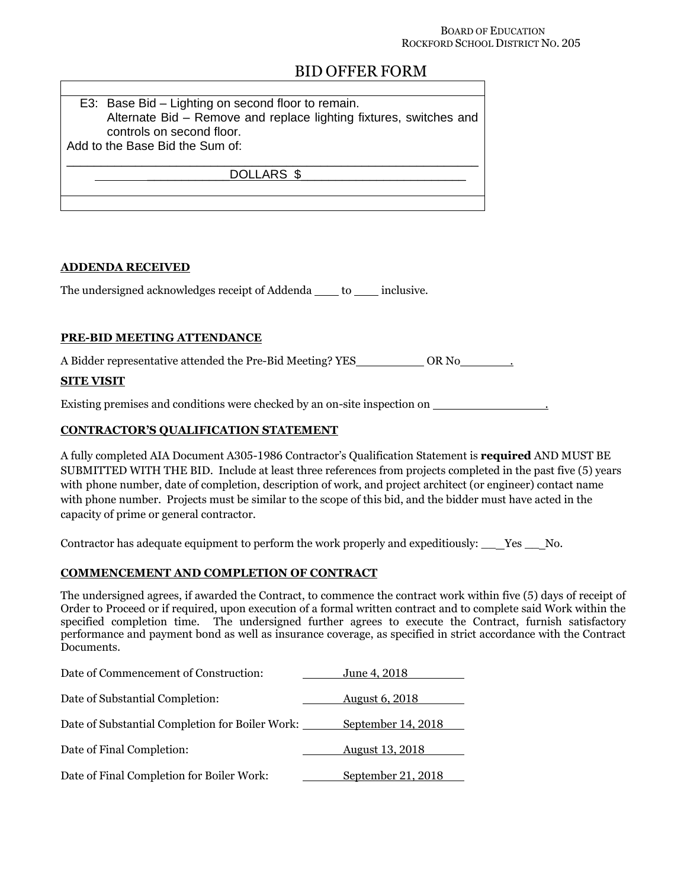#### BOARD OF EDUCATION ROCKFORD SCHOOL DISTRICT NO. 205

# BID OFFER FORM

| E3: Base Bid - Lighting on second floor to remain.                 |
|--------------------------------------------------------------------|
| Alternate Bid - Remove and replace lighting fixtures, switches and |
| controls on second floor.                                          |
| Add to the Base Bid the Sum of:                                    |
|                                                                    |
| DOLLARS \$                                                         |
|                                                                    |
|                                                                    |

### ADDENDA RECEIVED

The undersigned acknowledges receipt of Addenda \_\_\_\_ to \_\_\_\_ inclusive.

### PRE-BID MEETING ATTENDANCE

A Bidder representative attended the Pre-Bid Meeting? YES OR No .

### SITE VISIT

Existing premises and conditions were checked by an on-site inspection on .

## CONTRACTOR'S QUALIFICATION STATEMENT

A fully completed AIA Document A305-1986 Contractor's Qualification Statement is required AND MUST BE SUBMITTED WITH THE BID. Include at least three references from projects completed in the past five (5) years with phone number, date of completion, description of work, and project architect (or engineer) contact name with phone number. Projects must be similar to the scope of this bid, and the bidder must have acted in the capacity of prime or general contractor.

Contractor has adequate equipment to perform the work properly and expeditiously: \_\_ Yes \_\_ No.

### COMMENCEMENT AND COMPLETION OF CONTRACT

The undersigned agrees, if awarded the Contract, to commence the contract work within five (5) days of receipt of Order to Proceed or if required, upon execution of a formal written contract and to complete said Work within the specified completion time. The undersigned further agrees to execute the Contract, furnish satisfactory performance and payment bond as well as insurance coverage, as specified in strict accordance with the Contract Documents.

| Date of Commencement of Construction:           | June 4, 2018           |
|-------------------------------------------------|------------------------|
| Date of Substantial Completion:                 | <b>August 6, 2018</b>  |
| Date of Substantial Completion for Boiler Work: | September 14, 2018     |
| Date of Final Completion:                       | <b>August 13, 2018</b> |
| Date of Final Completion for Boiler Work:       | September 21, 2018     |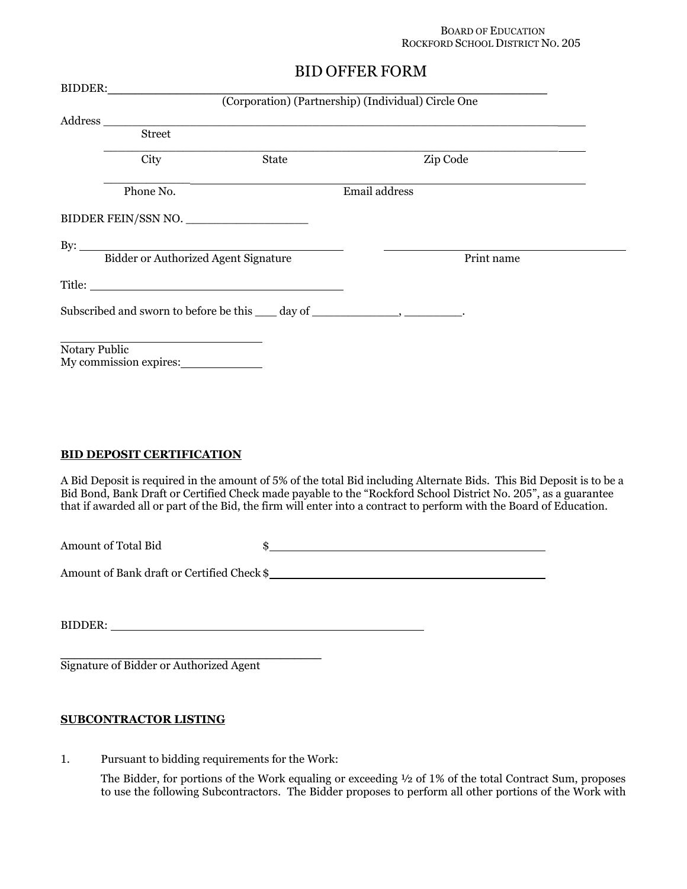#### BOARD OF EDUCATION ROCKFORD SCHOOL DISTRICT NO. 205

# BID OFFER FORM

| <b>Street</b> |       |                     |                                                                                                                                                   |
|---------------|-------|---------------------|---------------------------------------------------------------------------------------------------------------------------------------------------|
| City          | State | Zip Code            |                                                                                                                                                   |
| Phone No.     |       | Email address       |                                                                                                                                                   |
|               |       |                     |                                                                                                                                                   |
|               |       |                     |                                                                                                                                                   |
|               |       | Print name          |                                                                                                                                                   |
|               |       |                     |                                                                                                                                                   |
|               |       |                     |                                                                                                                                                   |
|               |       |                     |                                                                                                                                                   |
|               |       | BIDDER FEIN/SSN NO. | BIDDER: (Corporation) (Partnership) (Individual) Circle One<br>Subscribed and sworn to before be this ____ day of ______________________________. |

### BID DEPOSIT CERTIFICATION

A Bid Deposit is required in the amount of 5% of the total Bid including Alternate Bids. This Bid Deposit is to be a Bid Bond, Bank Draft or Certified Check made payable to the "Rockford School District No. 205", as a guarantee that if awarded all or part of the Bid, the firm will enter into a contract to perform with the Board of Education.

Amount of Total Bid  $\frac{1}{2}$ 

Amount of Bank draft or Certified Check \$

BIDDER:

Signature of Bidder or Authorized Agent

### SUBCONTRACTOR LISTING

1. Pursuant to bidding requirements for the Work:

\_\_\_\_\_\_\_\_\_\_\_\_\_\_\_\_\_\_\_\_\_\_\_\_\_\_\_\_\_\_\_\_\_\_\_\_\_\_

The Bidder, for portions of the Work equaling or exceeding  $\frac{1}{2}$  of 1% of the total Contract Sum, proposes to use the following Subcontractors. The Bidder proposes to perform all other portions of the Work with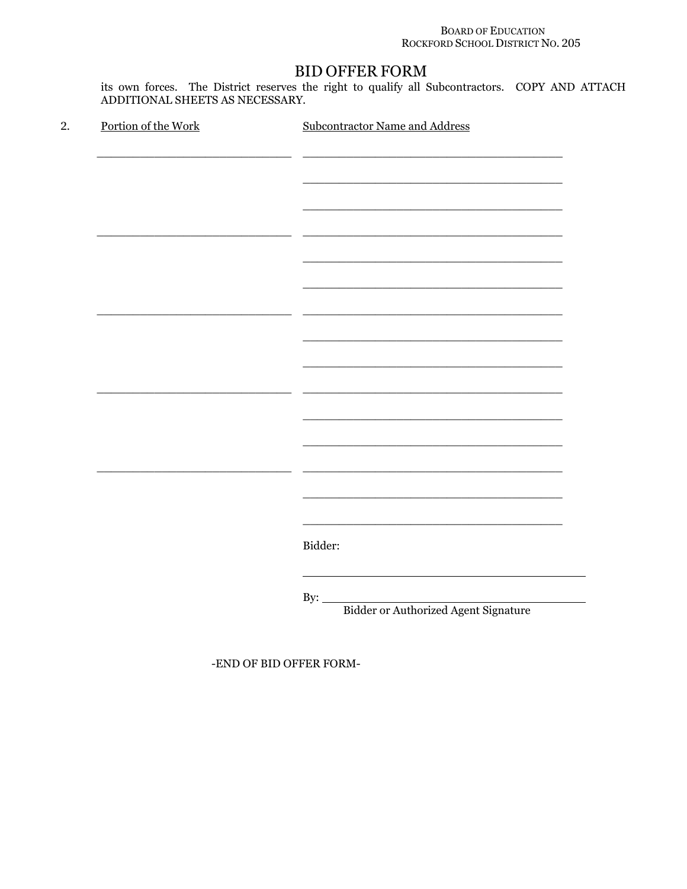### **BOARD OF EDUCATION** ROCKFORD SCHOOL DISTRICT NO. 205

# **BID OFFER FORM**

its own forces. The District reserves the right to qualify all Subcontractors. COPY AND ATTACH<br>ADDITIONAL SHEETS AS NECESSARY.

| 2. | Portion of the Work | <b>Subcontractor Name and Address</b>              |
|----|---------------------|----------------------------------------------------|
|    |                     |                                                    |
|    |                     |                                                    |
|    |                     |                                                    |
|    |                     |                                                    |
|    |                     |                                                    |
|    |                     |                                                    |
|    |                     |                                                    |
|    |                     |                                                    |
|    |                     |                                                    |
|    |                     |                                                    |
|    |                     |                                                    |
|    |                     |                                                    |
|    |                     |                                                    |
|    |                     |                                                    |
|    |                     |                                                    |
|    |                     |                                                    |
|    |                     |                                                    |
|    |                     | Bidder:                                            |
|    |                     |                                                    |
|    |                     |                                                    |
|    |                     | By: $\_\_$<br>Bidder or Authorized Agent Signature |
|    |                     |                                                    |

-END OF BID OFFER FORM-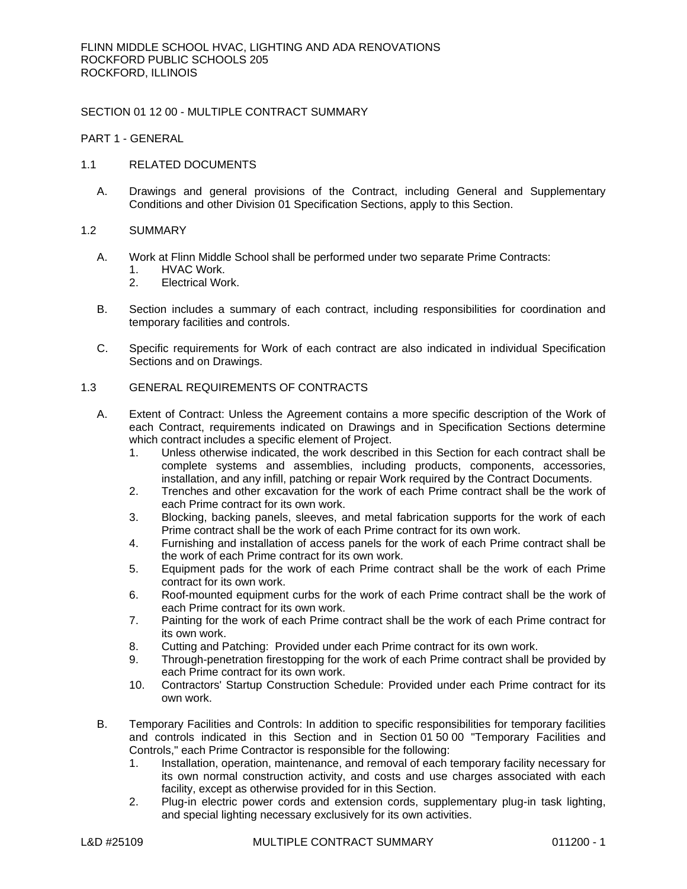### SECTION 01 12 00 - MULTIPLE CONTRACT SUMMARY

PART 1 - GENERAL

- 1.1 RELATED DOCUMENTS
	- A. Drawings and general provisions of the Contract, including General and Supplementary Conditions and other Division 01 Specification Sections, apply to this Section.

### 1.2 SUMMARY

- A. Work at Flinn Middle School shall be performed under two separate Prime Contracts:
	- 1. HVAC Work.
	- 2. Electrical Work.
- B. Section includes a summary of each contract, including responsibilities for coordination and temporary facilities and controls.
- C. Specific requirements for Work of each contract are also indicated in individual Specification Sections and on Drawings.

### 1.3 GENERAL REQUIREMENTS OF CONTRACTS

- A. Extent of Contract: Unless the Agreement contains a more specific description of the Work of each Contract, requirements indicated on Drawings and in Specification Sections determine which contract includes a specific element of Project.
	- 1. Unless otherwise indicated, the work described in this Section for each contract shall be complete systems and assemblies, including products, components, accessories, installation, and any infill, patching or repair Work required by the Contract Documents.
	- 2. Trenches and other excavation for the work of each Prime contract shall be the work of each Prime contract for its own work.
	- 3. Blocking, backing panels, sleeves, and metal fabrication supports for the work of each Prime contract shall be the work of each Prime contract for its own work.
	- 4. Furnishing and installation of access panels for the work of each Prime contract shall be the work of each Prime contract for its own work.
	- 5. Equipment pads for the work of each Prime contract shall be the work of each Prime contract for its own work.
	- 6. Roof-mounted equipment curbs for the work of each Prime contract shall be the work of each Prime contract for its own work.
	- 7. Painting for the work of each Prime contract shall be the work of each Prime contract for its own work.
	- 8. Cutting and Patching: Provided under each Prime contract for its own work.
	- 9. Through-penetration firestopping for the work of each Prime contract shall be provided by each Prime contract for its own work.
	- 10. Contractors' Startup Construction Schedule: Provided under each Prime contract for its own work.
- B. Temporary Facilities and Controls: In addition to specific responsibilities for temporary facilities and controls indicated in this Section and in Section 01 50 00 "Temporary Facilities and Controls," each Prime Contractor is responsible for the following:
	- 1. Installation, operation, maintenance, and removal of each temporary facility necessary for its own normal construction activity, and costs and use charges associated with each facility, except as otherwise provided for in this Section.
	- 2. Plug-in electric power cords and extension cords, supplementary plug-in task lighting, and special lighting necessary exclusively for its own activities.